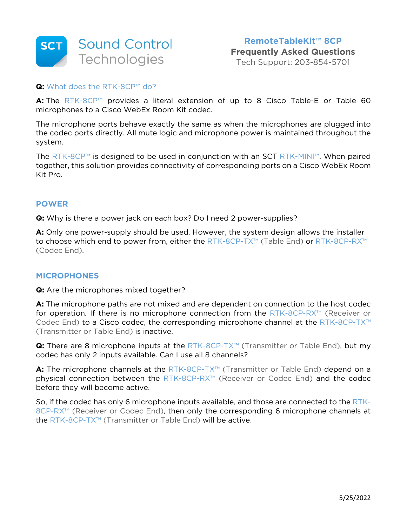

## **Q:** What does the RTK-8CP™ do?

**A:** The RTK-8CP™ provides a literal extension of up to 8 Cisco Table-E or Table 60 microphones to a Cisco WebEx Room Kit codec.

The microphone ports behave exactly the same as when the microphones are plugged into the codec ports directly. All mute logic and microphone power is maintained throughout the system.

The RTK-8CP™ is designed to be used in conjunction with an SCT RTK-MINI™. When paired together, this solution provides connectivity of corresponding ports on a Cisco WebEx Room Kit Pro.

## **POWER**

**Q:** Why is there a power jack on each box? Do I need 2 power-supplies?

**A:** Only one power-supply should be used. However, the system design allows the installer to choose which end to power from, either the RTK-8CP-TX™ (Table End) or RTK-8CP-RX™ (Codec End).

## **MICROPHONES**

**Q:** Are the microphones mixed together?

**A:** The microphone paths are not mixed and are dependent on connection to the host codec for operation. If there is no microphone connection from the RTK-8CP-RX™ (Receiver or Codec End) to a Cisco codec, the corresponding microphone channel at the RTK-8CP-TX™ (Transmitter or Table End) is inactive.

**Q:** There are 8 microphone inputs at the RTK-8CP-TX™ (Transmitter or Table End), but my codec has only 2 inputs available. Can I use all 8 channels?

A: The microphone channels at the RTK-8CP-TX<sup>™</sup> (Transmitter or Table End) depend on a physical connection between the RTK-8CP-RX<sup>™</sup> (Receiver or Codec End) and the codec before they will become active.

So, if the codec has only 6 microphone inputs available, and those are connected to the RTK-8CP-RX™ (Receiver or Codec End), then only the corresponding 6 microphone channels at the RTK-8CP-TX™ (Transmitter or Table End) will be active.